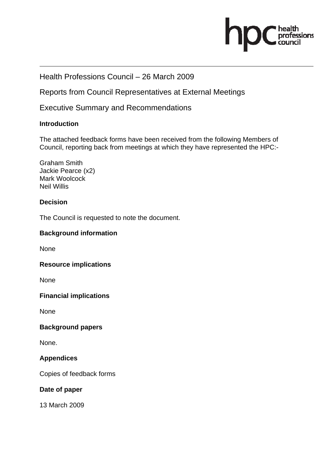

# Health Professions Council – 26 March 2009

Reports from Council Representatives at External Meetings

# Executive Summary and Recommendations

## **Introduction**

The attached feedback forms have been received from the following Members of Council, reporting back from meetings at which they have represented the HPC:-

Graham Smith Jackie Pearce (x2) Mark Woolcock Neil Willis

# **Decision**

The Council is requested to note the document.

## **Background information**

None

## **Resource implications**

None

## **Financial implications**

None

# **Background papers**

None.

# **Appendices**

Copies of feedback forms

## **Date of paper**

13 March 2009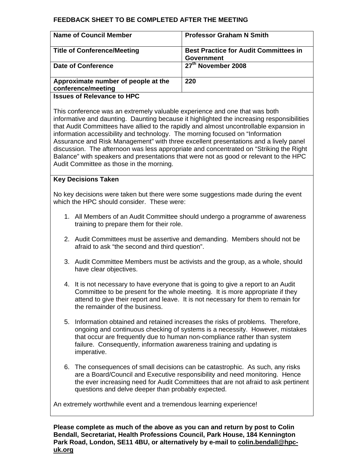#### **FEEDBACK SHEET TO BE COMPLETED AFTER THE MEETING**

| <b>Name of Council Member</b>                             | <b>Professor Graham N Smith</b>                                   |
|-----------------------------------------------------------|-------------------------------------------------------------------|
| <b>Title of Conference/Meeting</b>                        | <b>Best Practice for Audit Committees in</b><br><b>Government</b> |
| <b>Date of Conference</b>                                 | 27 <sup>th</sup> November 2008                                    |
| Approximate number of people at the<br>conference/meeting | 220                                                               |
| l                                                         |                                                                   |

**Issues of Relevance to HPC** 

This conference was an extremely valuable experience and one that was both informative and daunting. Daunting because it highlighted the increasing responsibilities that Audit Committees have allied to the rapidly and almost uncontrollable expansion in information accessibility and technology. The morning focused on "Information Assurance and Risk Management" with three excellent presentations and a lively panel discussion. The afternoon was less appropriate and concentrated on "Striking the Right Balance" with speakers and presentations that were not as good or relevant to the HPC Audit Committee as those in the morning.

#### **Key Decisions Taken**

No key decisions were taken but there were some suggestions made during the event which the HPC should consider. These were:

- 1. All Members of an Audit Committee should undergo a programme of awareness training to prepare them for their role.
- 2. Audit Committees must be assertive and demanding. Members should not be afraid to ask "the second and third question".
- 3. Audit Committee Members must be activists and the group, as a whole, should have clear objectives.
- 4. It is not necessary to have everyone that is going to give a report to an Audit Committee to be present for the whole meeting. It is more appropriate if they attend to give their report and leave. It is not necessary for them to remain for the remainder of the business.
- 5. Information obtained and retained increases the risks of problems. Therefore, ongoing and continuous checking of systems is a necessity. However, mistakes that occur are frequently due to human non-compliance rather than system failure. Consequently, information awareness training and updating is imperative.
- 6. The consequences of small decisions can be catastrophic. As such, any risks are a Board/Council and Executive responsibility and need monitoring. Hence the ever increasing need for Audit Committees that are not afraid to ask pertinent questions and delve deeper than probably expected.

An extremely worthwhile event and a tremendous learning experience!

**Please complete as much of the above as you can and return by post to Colin Bendall, Secretariat, Health Professions Council, Park House, 184 Kennington Park Road, London, SE11 4BU, or alternatively by e-mail to colin.bendall@hpcuk.org**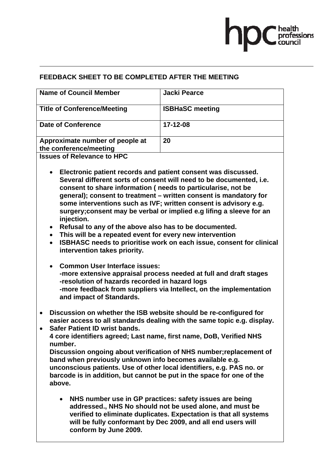

# **FEEDBACK SHEET TO BE COMPLETED AFTER THE MEETING**

| <b>Name of Council Member</b>                             | <b>Jacki Pearce</b>    |
|-----------------------------------------------------------|------------------------|
| <b>Title of Conference/Meeting</b>                        | <b>ISBHaSC meeting</b> |
| <b>Date of Conference</b>                                 | 17-12-08               |
| Approximate number of people at<br>the conference/meeting | 20                     |
| <b>Issues of Relevance to HPC</b>                         |                        |

- **Electronic patient records and patient consent was discussed. Several different sorts of consent will need to be documented, i.e. consent to share information ( needs to particularise, not be general); consent to treatment – written consent is mandatory for some interventions such as IVF; written consent is advisory e.g. surgery;consent may be verbal or implied e.g lifing a sleeve for an injection.**
- **Refusal to any of the above also has to be documented.**
- **This will be a repeated event for every new intervention**
- **ISBHASC needs to prioritise work on each issue, consent for clinical intervention takes priority.**
- **Common User Interface issues: -more extensive appraisal process needed at full and draft stages -resolution of hazards recorded in hazard logs -more feedback from suppliers via Intellect, on the implementation and impact of Standards.**
- **Discussion on whether the ISB website should be re-configured for easier access to all standards dealing with the same topic e.g. display.**
- **Safer Patient ID wrist bands. 4 core identifiers agreed; Last name, first name, DoB, Verified NHS number. Discussion ongoing about verification of NHS number;replacement of band when previously unknown info becomes available e.g. unconscious patients. Use of other local identifiers, e.g. PAS no. or barcode is in addition, but cannot be put in the space for one of the above.** 
	- **NHS number use in GP practices: safety issues are being addressed., NHS No should not be used alone, and must be verified to eliminate duplicates. Expectation is that all systems will be fully conformant by Dec 2009, and all end users will conform by June 2009.**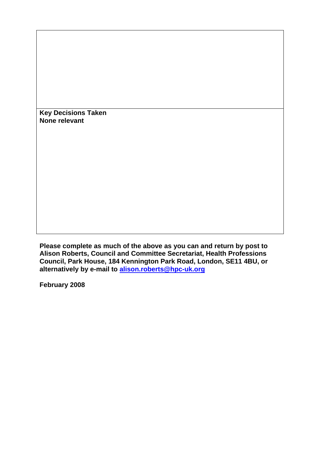**Key Decisions Taken None relevant** 

**Please complete as much of the above as you can and return by post to Alison Roberts, Council and Committee Secretariat, Health Professions Council, Park House, 184 Kennington Park Road, London, SE11 4BU, or alternatively by e-mail to alison.roberts@hpc-uk.org**

**February 2008**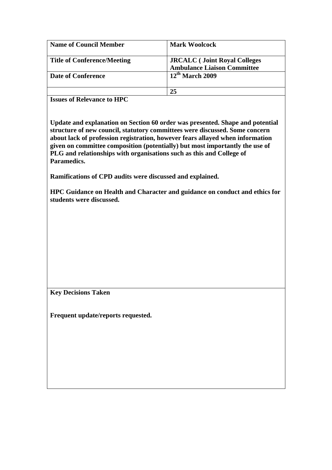| <b>Name of Council Member</b>      | <b>Mark Woolcock</b>                                                      |
|------------------------------------|---------------------------------------------------------------------------|
| <b>Title of Conference/Meeting</b> | <b>JRCALC</b> (Joint Royal Colleges<br><b>Ambulance Liaison Committee</b> |
| <b>Date of Conference</b>          | $12th$ March 2009                                                         |
|                                    | 25                                                                        |

**Issues of Relevance to HPC** 

**Update and explanation on Section 60 order was presented. Shape and potential structure of new council, statutory committees were discussed. Some concern about lack of profession registration, however fears allayed when information given on committee composition (potentially) but most importantly the use of PLG and relationships with organisations such as this and College of Paramedics.** 

**Ramifications of CPD audits were discussed and explained.** 

**HPC Guidance on Health and Character and guidance on conduct and ethics for students were discussed.** 

**Key Decisions Taken** 

**Frequent update/reports requested.**